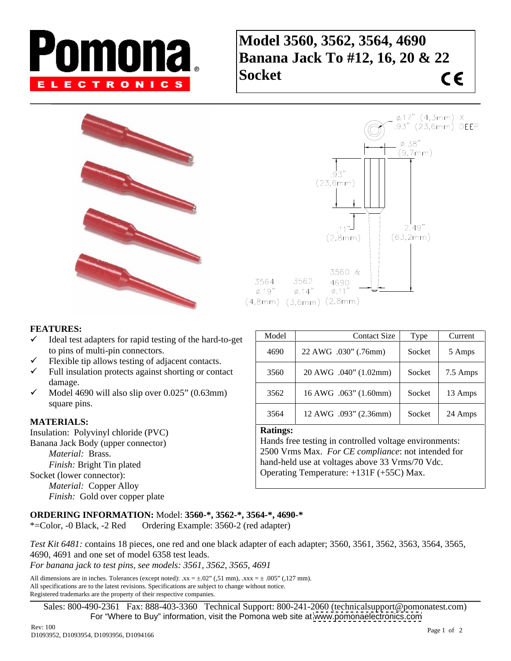

# **Banana Jack To #12, 16, 20 & 22**  Socket **CE**





- Ideal test adapters for rapid testing of the hard-to-get to pins of multi-pin connectors.
- Flexible tip allows testing of adjacent contacts.
- Full insulation protects against shorting or contact
- Model 4690 will also slip over 0.025" (0.63mm)

Insulation: Polyvinyl chloride (PVC) *Material:* Copper Alloy *Finish:* Gold over copper plate

| <b>FEATURES:</b>                                          |                 |                                           |        |          |
|-----------------------------------------------------------|-----------------|-------------------------------------------|--------|----------|
| Ideal test adapters for rapid testing of the hard-to-get  | Model           | Contact Size                              | Type   | Current  |
| to pins of multi-pin connectors.                          | 469             | 22 AWG .030" (.76mm)                      | Socket | 5 Amps   |
| Flexible tip allows testing of adjacent contacts.         |                 |                                           |        |          |
| Full insulation protects against shorting or contact      | 3560            | 20 AWG .040" (1.02mm)                     | Socket | 7.5 Amps |
| damage.                                                   |                 |                                           |        |          |
| Model 4690 will also slip over $0.025$ " $(0.63$ mm)      | 3562            | $16 \text{ AWG}$ .063" $(1.60 \text{mm})$ | Socket | 13 Amps  |
| square pins.                                              |                 |                                           |        |          |
|                                                           | 3564            | 12 AWG .093" (2.36mm)                     | Socket | 24 Amps  |
| <b>MATERIALS:</b><br>Insulation: Polyvinyl chloride (PVC) | <b>Ratings:</b> |                                           |        |          |

Banana Jack Body (upper connector) <br>
Hands free testing in controlled voltage environments: *Material:* Brass. 2500 Vrms Max. *For CE compliance*: not intended for *Finish:* Bright Tin plated **hand-held use at voltages above 33 Vrms**/70 Vdc. Socket (lower connector): <br>
Operating Temperature: +131F (+55C) Max.

### **ORDERING INFORMATION:** Model: **3560-\*, 3562-\*, 3564-\*, 4690-\***

\*=Color, -0 Black, -2 Red Ordering Example: 3560-2 (red adapter)

*Test Kit 6481:* contains 18 pieces, one red and one black adapter of each adapter; 3560, 3561, 3562, 3563, 3564, 3565, 4690, 4691 and one set of model 6358 test leads.

*For banana jack to test pins, see models: 3561, 3562, 3565, 4691*

All dimensions are in inches. Tolerances (except noted):  $xx = \pm .02$ " (,51 mm),  $xxx = \pm .005$ " (,127 mm). All specifications are to the latest revisions. Specifications are subject to change without notice.

Sales: 800-490-2361 Fax: 888-403-3360 Technical Support: 800-241-2060 (technicalsupport@pomonatest.com) For "Where to Buy" information, visit the Pomona web site at [www.pomonaelectronics.com](http://www.pomonaelectronics.com)